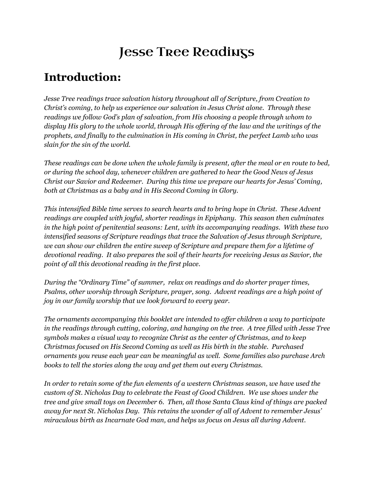# Jesse Tree Readings

## **Introduction:**

*Jesse Tree readings trace salvation history throughout all of Scripture, from Creation to Christ's coming, to help us experience our salvation in Jesus Christ alone. Through these readings we follow God's plan of salvation, from His choosing a people through whom to* display His glory to the whole world, through His offering of the law and the writings of the *prophets, and finally to the culmination in His coming in Christ, the perfect Lamb who was slain for the sin of the world.*

These readings can be done when the whole family is present, after the meal or en route to bed, *or during the school day, whenever children are gathered to hear the Good News of Jesus Christ our Savior and Redeemer. During this time we prepare our hearts for Jesus' Coming, both at Christmas as a baby and in His Second Coming in Glory.*

*This intensified Bible time serves to search hearts and to bring hope in Christ. These Advent readings are coupled with joyful, shorter readings in Epiphany. This season then culminates in the high point of penitential seasons: Lent, with its accompanying readings. With these two intensified seasons of Scripture readings that trace the Salvation of Jesus through Scripture, we can show our children the entire sweep of Scripture and prepare them for a lifetime of devotional reading. It also prepares the soil of their hearts for receiving Jesus as Savior, the point of all this devotional reading in the first place.*

*During the "Ordinary Time" of summer, relax on readings and do shorter prayer times, Psalms, other worship through Scripture, prayer, song. Advent readings are a high point of joy in our family worship that we look forward to every year.*

*The ornaments accompanying this booklet are intended to of er children a way to participate in the readings through cutting, coloring, and hanging on the tree. A tree filled with Jesse Tree symbols makes a visual way to recognize Christ as the center of Christmas, and to keep Christmas focused on His Second Coming as well as His birth in the stable. Purchased ornaments you reuse each year can be meaningful as well. Some families also purchase Arch books to tell the stories along the way and get them out every Christmas.*

*In order to retain some of the fun elements of a western Christmas season, we have used the custom of St. Nicholas Day to celebrate the Feast of Good Children. We use shoes under the tree and give small toys on December 6. Then, all those Santa Claus kind of things are packed away for next St. Nicholas Day. This retains the wonder of all of Advent to remember Jesus' miraculous birth as Incarnate God man, and helps us focus on Jesus all during Advent.*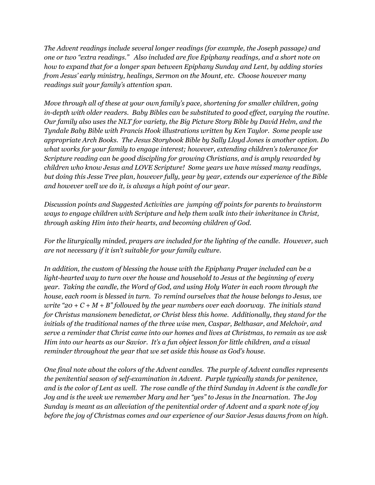*The Advent readings include several longer readings (for example, the Joseph passage) and one or two "extra readings." Also included are five Epiphany readings, and a short note on how to expand that for a longer span between Epiphany Sunday and Lent, by adding stories from Jesus' early ministry, healings, Sermon on the Mount, etc. Choose however many readings suit your family's attention span.*

*Move through all of these at your own family's pace, shortening for smaller children, going in-depth with older readers. Baby Bibles can be substituted to good ef ect, varying the routine. Our family also uses the NLT for variety, the Big Picture Story Bible by David Helm, and the Tyndale Baby Bible with Francis Hook illustrations written by Ken Taylor. Some people use appropriate Arch Books. The Jesus Storybook Bible by Sally Lloyd Jones is another option. Do what works for your family to engage interest; however, extending children's tolerance for Scripture reading can be good discipling for growing Christians, and is amply rewarded by children who know Jesus and LOVE Scripture! Some years we have missed many readings, but doing this Jesse Tree plan, however fully, year by year, extends our experience of the Bible and however well we do it, is always a high point of our year.*

*Discussion points and Suggested Activities are jumping of points for parents to brainstorm ways to engage children with Scripture and help them walk into their inheritance in Christ, through asking Him into their hearts, and becoming children of God.*

*For the liturgically minded, prayers are included for the lighting of the candle. However, such are not necessary if it isn't suitable for your family culture.*

*In addition, the custom of blessing the house with the Epiphany Prayer included can be a light-hearted way to turn over the house and household to Jesus at the beginning of every year. Taking the candle, the Word of God, and using Holy Water in each room through the house, each room is blessed in turn. To remind ourselves that the house belongs to Jesus, we write "20 + C + M + B" followed by the year numbers over each doorway. The initials stand for Christus mansionem benedictat, or Christ bless this home. Additionally, they stand for the initials of the traditional names of the three wise men, Caspar, Belthasar, and Melchoir, and serve a reminder that Christ came into our homes and lives at Christmas, to remain as we ask Him into our hearts as our Savior. It's a fun object lesson for little children, and a visual reminder throughout the year that we set aside this house as God's house.*

*One final note about the colors of the Advent candles. The purple of Advent candles represents the penitential season of self-examination in Advent. Purple typically stands for penitence,* and is the color of Lent as well. The rose candle of the third Sunday in Advent is the candle for *Joy and is the week we remember Mary and her "yes" to Jesus in the Incarnation. The Joy Sunday is meant as an alleviation of the penitential order of Advent and a spark note of joy before the joy of Christmas comes and our experience of our Savior Jesus dawns from on high.*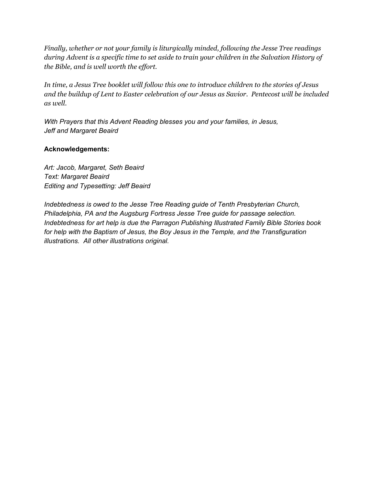*Finally, whether or not your family is liturgically minded, following the Jesse Tree readings during Advent is a specific time to set aside to train your children in the Salvation History of the Bible, and is well worth the ef ort.*

*In time, a Jesus Tree booklet will follow this one to introduce children to the stories of Jesus and the buildup of Lent to Easter celebration of our Jesus as Savior. Pentecost will be included as well.*

*With Prayers that this Advent Reading blesses you and your families, in Jesus, Jeff and Margaret Beaird*

#### **Acknowledgements:**

*Art: Jacob, Margaret, Seth Beaird Text: Margaret Beaird Editing and Typesetting: Jeff Beaird*

*Indebtedness is owed to the Jesse Tree Reading guide of Tenth Presbyterian Church, Philadelphia, PA and the Augsburg Fortress Jesse Tree guide for passage selection. Indebtedness for art help is due the Parragon Publishing Illustrated Family Bible Stories book for help with the Baptism of Jesus, the Boy Jesus in the Temple, and the Transfiguration illustrations. All other illustrations original.*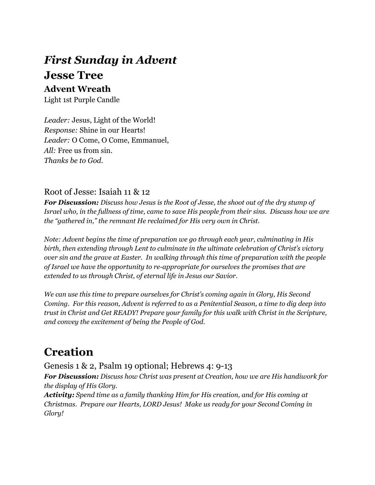## *First Sunday in Advent* **Jesse Tree Advent Wreath**

Light 1st Purple Candle

*Leader:* Jesus, Light of the World! *Response:* Shine in our Hearts! *Leader:* O Come, O Come, Emmanuel, *All:* Free us from sin. *Thanks be to God.*

#### Root of Jesse: Isaiah 11 & 12

*For Discussion: Discuss how Jesus is the Root of Jesse, the shoot out of the dry stump of* Israel who, in the fullness of time, came to save His people from their sins. Discuss how we are *the "gathered in," the remnant He reclaimed for His very own in Christ.*

*Note: Advent begins the time of preparation we go through each year, culminating in His birth, then extending through Lent to culminate in the ultimate celebration of Christ's victory over sin and the grave at Easter. In walking through this time of preparation with the people of Israel we have the opportunity to re-appropriate for ourselves the promises that are extended to us through Christ, of eternal life in Jesus our Savior.*

*We can use this time to prepare ourselves for Christ's coming again in Glory, His Second Coming. For this reason, Advent is referred to as a Penitential Season, a time to dig deep into trust in Christ and Get READY! Prepare your family for this walk with Christ in the Scripture, and convey the excitement of being the People of God.*

## **Creation**

Genesis 1 & 2, Psalm 19 optional; Hebrews 4: 9-13

*For Discussion: Discuss how Christ was present at Creation, how we are His handiwork for the display of His Glory.*

*Activity: Spend time as a family thanking Him for His creation, and for His coming at Christmas. Prepare our Hearts, LORD Jesus! Make us ready for your Second Coming in Glory!*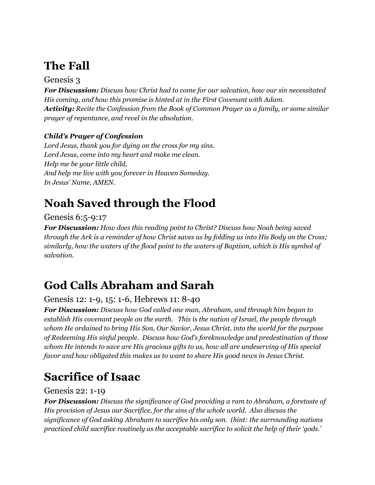## **The Fall**

### Genesis 3

*For Discussion: Discuss how Christ had to come for our salvation, how our sin necessitated His coming, and how this promise is hinted at in the First Covenant with Adam. Activity: Recite the Confession from the Book of Common Prayer as a family, or some similar prayer of repentance, and revel in the absolution.*

### *Child's Prayer of Confession*

*Lord Jesus, thank you for dying on the cross for my sins. Lord Jesus, come into my heart and make me clean. Help me be your little child, And help me live with you forever in Heaven Someday. In Jesus' Name, AMEN.*

## **Noah Saved through the Flood**

### Genesis 6:5-9:17

*For Discussion: How does this reading point to Christ? Discuss how Noah being saved* through the Ark is a reminder of how Christ saves us by folding us into His Body on the Cross; *similarly, how the waters of the flood point to the waters of Baptism, which is His symbol of salvation.*

## **God Calls Abraham and Sarah**

### Genesis 12: 1-9, 15: 1-6, Hebrews 11: 8-40

*For Discussion: Discuss how God called one man, Abraham, and through him began to establish His covenant people on the earth. This is the nation of Israel, the people through whom He ordained to bring His Son, Our Savior, Jesus Christ, into the world for the purpose of Redeeming His sinful people. Discuss how God's foreknowledge and predestination of those whom He intends to save are His gracious gifts to us, how all are undeserving of His special favor and how obligated this makes us to want to share His good news in Jesus Christ.*

## **Sacrifice of Isaac**

Genesis 22: 1-19

*For Discussion: Discuss the significance of God providing a ram to Abraham, a foretaste of His provision of Jesus our Sacrifice, for the sins of the whole world. Also discuss the significance of God asking Abraham to sacrifice his only son. (hint: the surrounding nations practiced child sacrifice routinely as the acceptable sacrifice to solicit the help of their 'gods.'*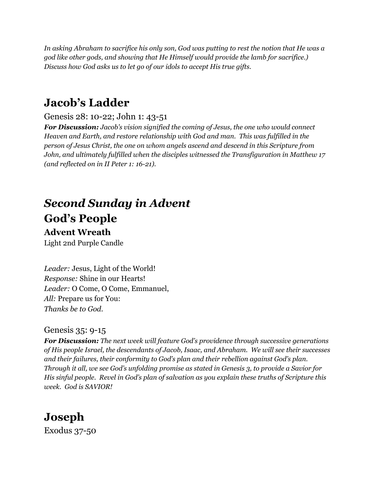In asking Abraham to sacrifice his only son, God was putting to rest the notion that He was a *god like other gods, and showing that He Himself would provide the lamb for sacrifice.) Discuss how God asks us to let go of our idols to accept His true gifts.*

## **Jacob's Ladder**

### Genesis 28: 10-22; John 1: 43-51

*For Discussion: Jacob's vision signified the coming of Jesus, the one who would connect Heaven and Earth, and restore relationship with God and man. This was fulfilled in the person of Jesus Christ, the one on whom angels ascend and descend in this Scripture from John, and ultimately fulfilled when the disciples witnessed the Transfiguration in Matthew 17 (and reflected on in II Peter 1: 16-21).*

# *Second Sunday in Advent* **God's People**

### **Advent Wreath**

Light 2nd Purple Candle

*Leader:* Jesus, Light of the World! *Response:* Shine in our Hearts! *Leader:* O Come, O Come, Emmanuel, *All:* Prepare us for You: *Thanks be to God.*

### Genesis 35: 9-15

*For Discussion: The next week will feature God's providence through successive generations of His people Israel, the descendants of Jacob, Isaac, and Abraham. We will see their successes and their failures, their conformity to God's plan and their rebellion against God's plan. Through it all, we see God's unfolding promise as stated in Genesis 3, to provide a Savior for His sinful people. Revel in God's plan of salvation as you explain these truths of Scripture this week. God is SAVIOR!*

# **Joseph**

Exodus 37-50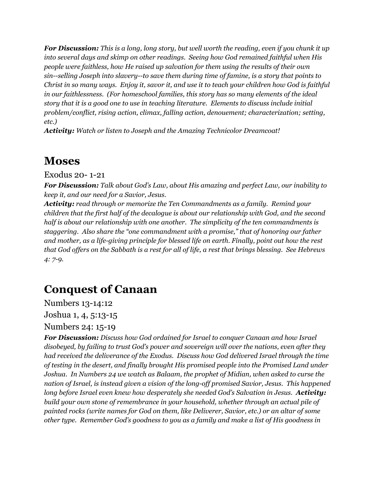**For Discussion:** This is a long, long story, but well worth the reading, even if you chunk it up *into several days and skimp on other readings. Seeing how God remained faithful when His people were faithless, how He raised up salvation for them using the results of their own sin--selling Joseph into slavery--to save them during time of famine, is a story that points to* Christ in so many ways. Enjoy it, savor it, and use it to teach your children how God is faithful *in our faithlessness. (For homeschool families, this story has so many elements of the ideal story that it is a good one to use in teaching literature. Elements to discuss include initial problem/conflict, rising action, climax, falling action, denouement; characterization; setting, etc.)*

*Activity: Watch or listen to Joseph and the Amazing Technicolor Dreamcoat!*

## **Moses**

Exodus 20- 1-21

*For Discussion: Talk about God's Law, about His amazing and perfect Law, our inability to keep it, and our need for a Savior, Jesus.*

*Activity: read through or memorize the Ten Commandments as a family. Remind your children that the first half of the decalogue is about our relationship with God, and the second half is about our relationship with one another. The simplicity of the ten commandments is staggering. Also share the "one commandment with a promise," that of honoring our father and mother, as a life-giving principle for blessed life on earth. Finally, point out how the rest* that God offers on the Sabbath is a rest for all of life, a rest that brings blessing. See Hebrews *4: 7-9.*

## **Conquest of Canaan**

Numbers 13-14:12

Joshua 1, 4, 5:13-15

Numbers 24: 15-19

*For Discussion: Discuss how God ordained for Israel to conquer Canaan and how Israel disobeyed, by failing to trust God's power and sovereign will over the nations, even after they had received the deliverance of the Exodus. Discuss how God delivered Israel through the time of testing in the desert, and finally brought His promised people into the Promised Land under Joshua. In Numbers 24 we watch as Balaam, the prophet of Midian, when asked to curse the nation of Israel, is instead given a vision of the long-of promised Savior, Jesus. This happened long before Israel even knew how desperately she needed God's Salvation in Jesus. Activity: build your own stone of remembrance in your household, whether through an actual pile of painted rocks (write names for God on them, like Deliverer, Savior, etc.) or an altar of some other type. Remember God's goodness to you as a family and make a list of His goodness in*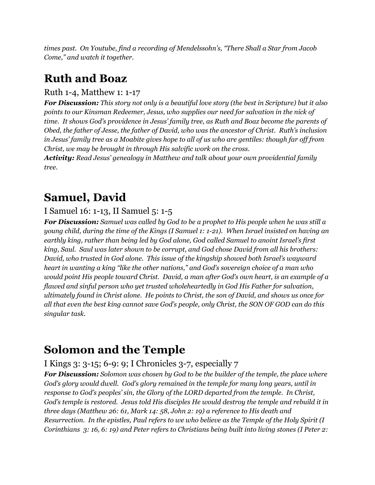*times past. On Youtube, find a recording of Mendelssohn's, "There Shall a Star from Jacob Come," and watch it together.*

## **Ruth and Boaz**

### Ruth 1-4, Matthew 1: 1-17

*For Discussion: This story not only is a beautiful love story (the best in Scripture) but it also points to our Kinsman Redeemer, Jesus, who supplies our need for salvation in the nick of time. It shows God's providence in Jesus' family tree, as Ruth and Boaz become the parents of Obed, the father of Jesse, the father of David, who was the ancestor of Christ. Ruth's inclusion* in Jesus' family tree as a Moabite gives hope to all of us who are gentiles: though far off from *Christ, we may be brought in through His salvific work on the cross.*

*Activity: Read Jesus' genealogy in Matthew and talk about your own providential family tree.*

## **Samuel, David**

### I Samuel 16: 1-13, II Samuel 5: 1-5

*For Discussion: Samuel was called by God to be a prophet to His people when he was still a young child, during the time of the Kings (I Samuel 1: 1-21). When Israel insisted on having an earthly king, rather than being led by God alone, God called Samuel to anoint Israel's first king, Saul. Saul was later shown to be corrupt, and God chose David from all his brothers: David, who trusted in God alone. This issue of the kingship showed both Israel's wayward heart in wanting a king "like the other nations," and God's sovereign choice of a man who would point His people toward Christ. David, a man after God's own heart, is an example of a flawed and sinful person who yet trusted wholeheartedly in God His Father for salvation, ultimately found in Christ alone. He points to Christ, the son of David, and shows us once for* all that even the best king cannot save God's people, only Christ, the SON OF GOD can do this *singular task.*

## **Solomon and the Temple**

### I Kings 3: 3-15; 6-9: 9; I Chronicles 3-7, especially 7

*For Discussion: Solomon was chosen by God to be the builder of the temple, the place where God's glory would dwell. God's glory remained in the temple for many long years, until in response to God's peoples' sin, the Glory of the LORD departed from the temple. In Christ, God's temple is restored. Jesus told His disciples He would destroy the temple and rebuild it in three days (Matthew 26: 61, Mark 14: 58, John 2: 19) a reference to His death and Resurrection. In the epistles, Paul refers to we who believe as the Temple of the Holy Spirit (I* Corinthians 3: 16, 6: 19) and Peter refers to Christians being built into living stones (I Peter 2: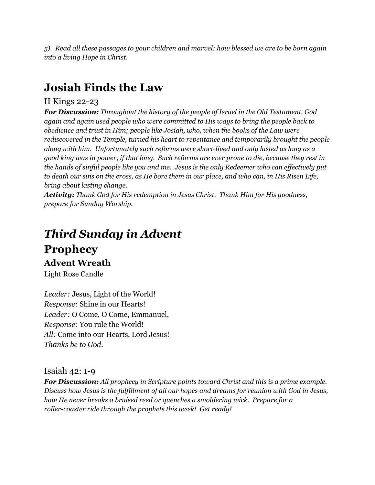*5). Read all these passages to your children and marvel: how blessed we are to be born again into a living Hope in Christ.*

## **Josiah Finds the Law**

### II Kings 22-23

*For Discussion: Throughout the history of the people of Israel in the Old Testament, God again and again used people who were committed to His ways to bring the people back to obedience and trust in Him; people like Josiah, who, when the books of the Law were rediscovered in the Temple, turned his heart to repentance and temporarily brought the people along with him. Unfortunately such reforms were short-lived and only lasted as long as a* good king was in power, if that long. Such reforms are ever prone to die, because they rest in the hands of sinful people like you and me. Jesus is the only Redeemer who can effectively put to death our sins on the cross, as He bore them in our place, and who can, in His Risen Life, *bring about lasting change.*

*Activity: Thank God for His redemption in Jesus Christ. Thank Him for His goodness, prepare for Sunday Worship.*

## *Third Sunday in Advent* **Prophecy Advent Wreath** Light Rose Candle

*Leader:* Jesus, Light of the World! *Response:* Shine in our Hearts! *Leader:* O Come, O Come, Emmanuel, *Response:* You rule the World! *All:* Come into our Hearts, Lord Jesus! *Thanks be to God.*

Isaiah 42: 1-9

*For Discussion: All prophecy in Scripture points toward Christ and this is a prime example. Discuss how Jesus is the fulfillment of all our hopes and dreams for reunion with God in Jesus, how He never breaks a bruised reed or quenches a smoldering wick. Prepare for a roller-coaster ride through the prophets this week! Get ready!*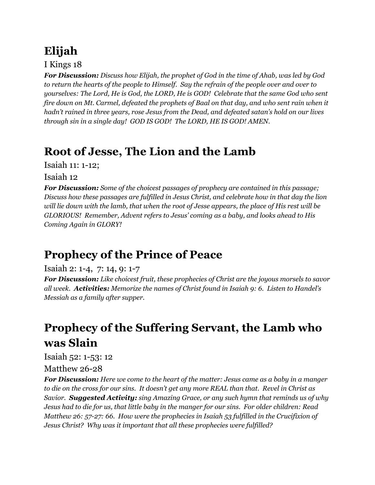# **Elijah**

I Kings 18

*For Discussion: Discuss how Elijah, the prophet of God in the time of Ahab, was led by God* to return the hearts of the people to Himself. Say the refrain of the people over and over to *yourselves: The Lord, He is God, the LORD, He is GOD! Celebrate that the same God who sent* fire down on Mt. Carmel, defeated the prophets of Baal on that day, and who sent rain when it *hadn't rained in three years, rose Jesus from the Dead, and defeated satan's hold on our lives through sin in a single day! GOD IS GOD! The LORD, HE IS GOD! AMEN.*

# **Root of Jesse, The Lion and the Lamb**

Isaiah 11: 1-12;

Isaiah 12

*For Discussion: Some of the choicest passages of prophecy are contained in this passage; Discuss how these passages are fulfilled in Jesus Christ, and celebrate how in that day the lion* will lie down with the lamb, that when the root of Jesse appears, the place of His rest will be *GLORIOUS! Remember, Advent refers to Jesus' coming as a baby, and looks ahead to His Coming Again in GLORY!*

# **Prophecy of the Prince of Peace**

### Isaiah 2: 1-4, 7: 14, 9: 1-7

*For Discussion: Like choicest fruit, these prophecies of Christ are the joyous morsels to savor all week. Activities: Memorize the names of Christ found in Isaiah 9: 6. Listen to Handel's Messiah as a family after supper.*

# **Prophecy of the Suffering Servant, the Lamb who was Slain**

Isaiah 52: 1-53: 12

Matthew 26-28

*For Discussion: Here we come to the heart of the matter: Jesus came as a baby in a manger* to die on the cross for our sins. It doesn't get any more REAL than that. Revel in Christ as *Savior. Suggested Activity: sing Amazing Grace, or any such hymn that reminds us of why* Jesus had to die for us, that little baby in the manger for our sins. For older children: Read *Matthew 26: 57-27: 66. How were the prophecies in Isaiah 53 fulfilled in the Crucifixion of Jesus Christ? Why was it important that all these prophecies were fulfilled?*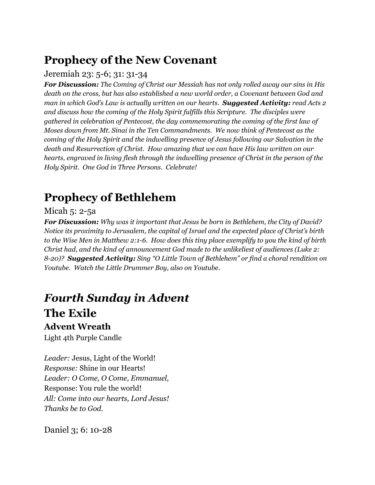## **Prophecy of the New Covenant**

### Jeremiah 23: 5-6; 31: 31-34

*For Discussion: The Coming of Christ our Messiah has not only rolled away our sins in His death on the cross, but has also established a new world order, a Covenant between God and man in which God's Law is actually written on our hearts. Suggested Activity: read Acts 2 and discuss how the coming of the Holy Spirit fulfills this Scripture. The disciples were gathered in celebration of Pentecost, the day commemorating the coming of the first law of Moses down from Mt. Sinai in the Ten Commandments. We now think of Pentecost as the coming of the Holy Spirit and the indwelling presence of Jesus following our Salvation in the death and Resurrection of Christ. How amazing that we can have His law written on our hearts, engraved in living flesh through the indwelling presence of Christ in the person of the Holy Spirit. One God in Three Persons. Celebrate!*

## **Prophecy of Bethlehem**

### Micah 5: 2-5a

*For Discussion: Why was it important that Jesus be born in Bethlehem, the City of David? Notice its proximity to Jerusalem, the capital of Israel and the expected place of Christ's birth* to the Wise Men in Matthew 2:1-6. How does this tiny place exemplify to you the kind of birth *Christ had, and the kind of announcement God made to the unlikeliest of audiences (Luke 2: 8-20)? Suggested Activity: Sing "O Little Town of Bethlehem" or find a choral rendition on Youtube. Watch the Little Drummer Boy, also on Youtube.*

# *Fourth Sunday in Advent* **The Exile**

### **Advent Wreath**

Light 4th Purple Candle

*Leader:* Jesus, Light of the World! *Response:* Shine in our Hearts! *Leader: O Come, O Come, Emmanuel,* Response: You rule the world! *All: Come into our hearts, Lord Jesus! Thanks be to God.*

Daniel 3; 6: 10-28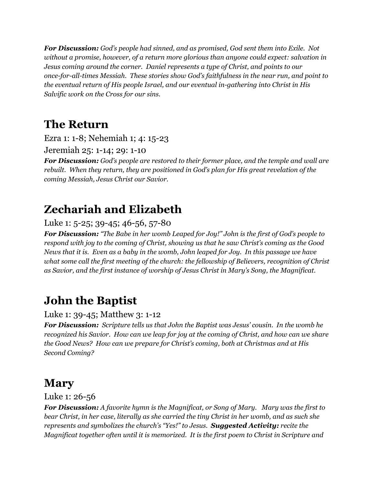*For Discussion: God's people had sinned, and as promised, God sent them into Exile. Not without a promise, however, of a return more glorious than anyone could expect: salvation in Jesus coming around the corner. Daniel represents a type of Christ, and points to our once-for-all-times Messiah. These stories show God's faithfulness in the near run, and point to the eventual return of His people Israel, and our eventual in-gathering into Christ in His Salvific work on the Cross for our sins.*

## **The Return**

Ezra 1: 1-8; Nehemiah 1; 4: 15-23

Jeremiah 25: 1-14; 29: 1-10

*For Discussion: God's people are restored to their former place, and the temple and wall are rebuilt. When they return, they are positioned in God's plan for His great revelation of the coming Messiah, Jesus Christ our Savior.*

## **Zechariah and Elizabeth**

### Luke 1: 5-25; 39-45; 46-56, 57-80

*For Discussion: "The Babe in her womb Leaped for Joy!" John is the first of God's people to respond with joy to the coming of Christ, showing us that he saw Christ's coming as the Good* News that it is. Even as a baby in the womb, John leaped for Joy. In this passage we have *what some call the first meeting of the church: the fellowship of Believers, recognition of Christ as Savior, and the first instance of worship of Jesus Christ in Mary's Song, the Magnificat.*

## **John the Baptist**

### Luke 1: 39-45; Matthew 3: 1-12

*For Discussion: Scripture tells us that John the Baptist was Jesus' cousin. In the womb he* recognized his Savior. How can we leap for joy at the coming of Christ, and how can we share *the Good News? How can we prepare for Christ's coming, both at Christmas and at His Second Coming?*

## **Mary**

Luke 1: 26-56

*For Discussion: A favorite hymn is the Magnificat, or Song of Mary. Mary was the first to* bear Christ, in her case, literally as she carried the tiny Christ in her womb, and as such she *represents and symbolizes the church's "Yes!" to Jesus. Suggested Activity: recite the Magnificat together often until it is memorized. It is the first poem to Christ in Scripture and*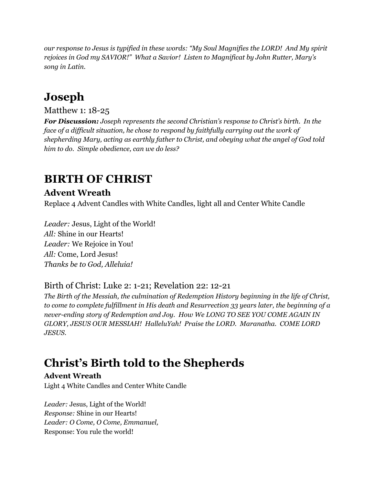*our response to Jesus is typified in these words: "My Soul Magnifies the LORD! And My spirit rejoices in God my SAVIOR!" What a Savior! Listen to Magnificat by John Rutter, Mary's song in Latin.*

## **Joseph**

### Matthew 1: 18-25

*For Discussion: Joseph represents the second Christian's response to Christ's birth. In the face of a dif icult situation, he chose to respond by faithfully carrying out the work of shepherding Mary, acting as earthly father to Christ, and obeying what the angel of God told him to do. Simple obedience, can we do less?*

## **BIRTH OF CHRIST**

### **Advent Wreath**

Replace 4 Advent Candles with White Candles, light all and Center White Candle

*Leader:* Jesus, Light of the World! *All:* Shine in our Hearts! *Leader:* We Rejoice in You! *All:* Come, Lord Jesus! *Thanks be to God, Alleluia!*

### Birth of Christ: Luke 2: 1-21; Revelation 22: 12-21

*The Birth of the Messiah, the culmination of Redemption History beginning in the life of Christ, to come to complete fulfillment in His death and Resurrection 33 years later, the beginning of a never-ending story of Redemption and Joy. How We LONG TO SEE YOU COME AGAIN IN GLORY, JESUS OUR MESSIAH! HalleluYah! Praise the LORD. Maranatha. COME LORD JESUS.*

## **Christ's Birth told to the Shepherds**

### **Advent Wreath**

Light 4 White Candles and Center White Candle

*Leader:* Jesus, Light of the World! *Response:* Shine in our Hearts! *Leader: O Come, O Come, Emmanuel,* Response: You rule the world!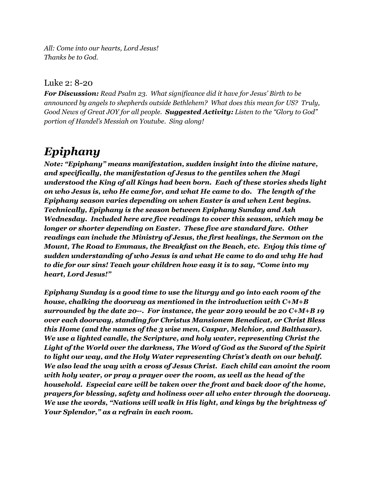*All: Come into our hearts, Lord Jesus! Thanks be to God.*

#### Luke 2: 8-20

*For Discussion: Read Psalm 23. What significance did it have for Jesus' Birth to be announced by angels to shepherds outside Bethlehem? What does this mean for US? Truly, Good News of Great JOY for all people. Suggested Activity: Listen to the "Glory to God" portion of Handel's Messiah on Youtube. Sing along!*

## *Epiphany*

*Note: "Epiphany" means manifestation, sudden insight into the divine nature, and specifically, the manifestation of Jesus to the gentiles when the Magi understood the King of all Kings had been born. Each of these stories sheds light on who Jesus is, who He came for, and what He came to do. The length of the Epiphany season varies depending on when Easter is and when Lent begins. Technically, Epiphany is the season between Epiphany Sunday and Ash Wednesday. Included here are five readings to cover this season, which may be longer or shorter depending on Easter. These five are standard fare. Other readings can include the Ministry of Jesus, the first healings, the Sermon on the Mount, The Road to Emmaus, the Breakfast on the Beach, etc. Enjoy this time of sudden understanding of who Jesus is and what He came to do and why He had to die for our sins! Teach your children how easy it is to say, "Come into my heart, Lord Jesus!"*

*Epiphany Sunday is a good time to use the liturgy and go into each room of the house, chalking the doorway as mentioned in the introduction with C+M+B surrounded by the date 20--. For instance, the year 2019 would be 20 C+M+B 19 over each doorway, standing for Christus Mansionem Benedicat, or Christ Bless this Home (and the names of the 3 wise men, Caspar, Melchior, and Balthasar). We use a lighted candle, the Scripture, and holy water, representing Christ the Light of the World over the darkness, The Word of God as the Sword of the Spirit to light our way, and the Holy Water representing Christ's death on our behalf. We also lead the way with a cross of Jesus Christ. Each child can anoint the room with holy water, or pray a prayer over the room, as well as the head of the household. Especial care will be taken over the front and back door of the home, prayers for blessing, safety and holiness over all who enter through the doorway. We use the words, "Nations will walk in His light, and kings by the brightness of Your Splendor," as a refrain in each room.*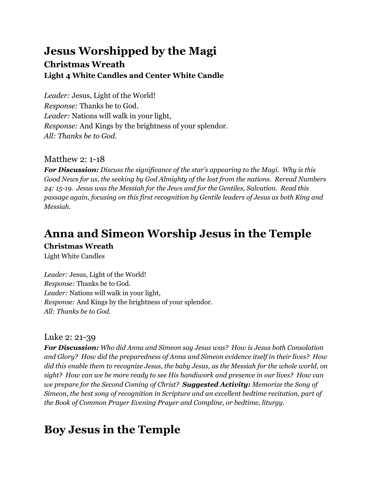### **Jesus Worshipped by the Magi Christmas Wreath Light 4 White Candles and Center White Candle**

*Leader:* Jesus, Light of the World! *Response:* Thanks be to God. *Leader:* Nations will walk in your light, *Response:* And Kings by the brightness of your splendor. *All: Thanks be to God.*

### Matthew 2: 1-18

*For Discussion: Discuss the significance of the star's appearing to the Magi. Why is this Good News for us, the seeking by God Almighty of the lost from the nations. Reread Numbers 24: 15-19. Jesus was the Messiah for the Jews and for the Gentiles, Salvation. Read this passage again, focusing on this first recognition by Gentile leaders of Jesus as both King and Messiah.*

## **Anna and Simeon Worship Jesus in the Temple**

#### **Christmas Wreath**

Light White Candles

*Leader:* Jesus, Light of the World! *Response:* Thanks be to God. *Leader:* Nations will walk in your light, *Response:* And Kings by the brightness of your splendor. *All: Thanks be to God.*

### Luke 2: 21-39

*For Discussion: Who did Anna and Simeon say Jesus was? How is Jesus both Consolation and Glory? How did the preparedness of Anna and Simeon evidence itself in their lives? How did this enable them to recognize Jesus, the baby Jesus, as the Messiah for the whole world, on sight? How can we be more ready to see His handiwork and presence in our lives? How can we prepare for the Second Coming of Christ? Suggested Activity: Memorize the Song of Simeon, the best song of recognition in Scripture and an excellent bedtime recitation, part of the Book of Common Prayer Evening Prayer and Compline, or bedtime, liturgy.*

## **Boy Jesus in the Temple**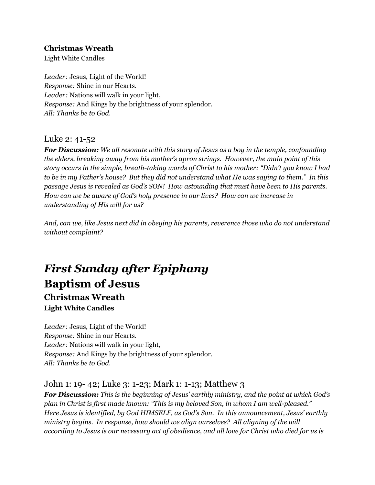#### **Christmas Wreath**

Light White Candles

*Leader:* Jesus, Light of the World! *Response:* Shine in our Hearts. *Leader:* Nations will walk in your light, *Response:* And Kings by the brightness of your splendor. *All: Thanks be to God.*

#### Luke 2: 41-52

*For Discussion: We all resonate with this story of Jesus as a boy in the temple, confounding the elders, breaking away from his mother's apron strings. However, the main point of this story occurs in the simple, breath-taking words of Christ to his mother: "Didn't you know I had* to be in my Father's house? But they did not understand what He was saying to them." In this *passage Jesus is revealed as God's SON! How astounding that must have been to His parents. How can we be aware of God's holy presence in our lives? How can we increase in understanding of His will for us?*

*And, can we, like Jesus next did in obeying his parents, reverence those who do not understand without complaint?*

## *First Sunday after Epiphany* **Baptism of Jesus Christmas Wreath Light White Candles**

*Leader:* Jesus, Light of the World! *Response:* Shine in our Hearts. *Leader:* Nations will walk in your light, *Response:* And Kings by the brightness of your splendor. *All: Thanks be to God.*

### John 1: 19- 42; Luke 3: 1-23; Mark 1: 1-13; Matthew 3

*For Discussion: This is the beginning of Jesus' earthly ministry, and the point at which God's plan in Christ is first made known: "This is my beloved Son, in whom I am well-pleased." Here Jesus is identified, by God HIMSELF, as God's Son. In this announcement, Jesus' earthly ministry begins. In response, how should we align ourselves? All aligning of the will* according to Jesus is our necessary act of obedience, and all love for Christ who died for us is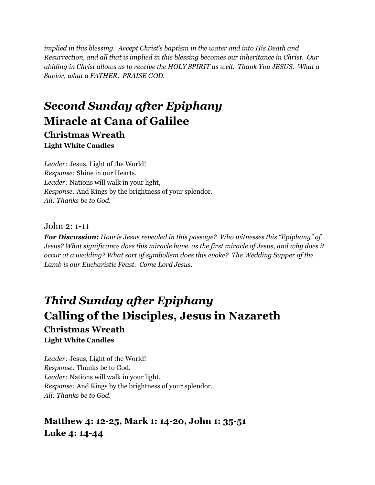*implied in this blessing. Accept Christ's baptism in the water and into His Death and Resurrection, and all that is implied in this blessing becomes our inheritance in Christ. Our abiding in Christ allows us to receive the HOLY SPIRIT as well. Thank You JESUS. What a Savior, what a FATHER. PRAISE GOD.*

## *Second Sunday after Epiphany* **Miracle at Cana of Galilee**

**Christmas Wreath Light White Candles**

*Leader:* Jesus, Light of the World! *Response:* Shine in our Hearts. *Leader:* Nations will walk in your light, *Response:* And Kings by the brightness of your splendor. *All: Thanks be to God.*

John 2: 1-11

*For Discussion: How is Jesus revealed in this passage? Who witnesses this "Epiphany" of Jesus? What significance does this miracle have, as the first miracle of Jesus, and why does it occur at a wedding? What sort of symbolism does this evoke? The Wedding Supper of the Lamb is our Eucharistic Feast. Come Lord Jesus.*

## *Third Sunday after Epiphany* **Calling of the Disciples, Jesus in Nazareth Christmas Wreath Light White Candles**

*Leader:* Jesus, Light of the World! *Response:* Thanks be to God. *Leader:* Nations will walk in your light, *Response:* And Kings by the brightness of your splendor. *All: Thanks be to God.*

### **Matthew 4: 12-25, Mark 1: 14-20, John 1: 35-51 Luke 4: 14-44**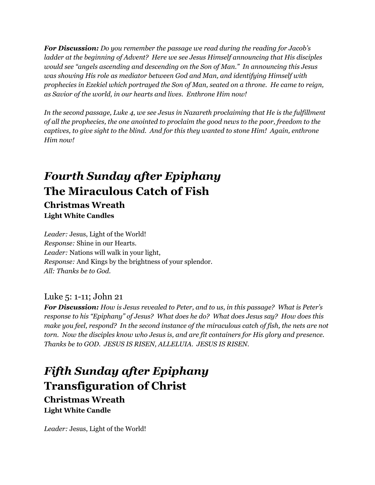*For Discussion: Do you remember the passage we read during the reading for Jacob's ladder at the beginning of Advent? Here we see Jesus Himself announcing that His disciples would see "angels ascending and descending on the Son of Man." In announcing this Jesus was showing His role as mediator between God and Man, and identifying Himself with prophecies in Ezekiel which portrayed the Son of Man, seated on a throne. He came to reign, as Savior of the world, in our hearts and lives. Enthrone Him now!*

*In the second passage, Luke 4, we see Jesus in Nazareth proclaiming that He is the fulfillment of all the prophecies, the one anointed to proclaim the good news to the poor, freedom to the captives, to give sight to the blind. And for this they wanted to stone Him! Again, enthrone Him now!*

## *Fourth Sunday after Epiphany* **The Miraculous Catch of Fish Christmas Wreath**

**Light White Candles**

*Leader:* Jesus, Light of the World! *Response:* Shine in our Hearts. *Leader:* Nations will walk in your light, *Response:* And Kings by the brightness of your splendor. *All: Thanks be to God.*

### Luke 5: 1-11; John 21

*For Discussion: How is Jesus revealed to Peter, and to us, in this passage? What is Peter's response to his "Epiphany" of Jesus? What does he do? What does Jesus say? How does this make you feel, respond? In the second instance of the miraculous catch of fish, the nets are not torn. Now the disciples know who Jesus is, and are fit containers for His glory and presence. Thanks be to GOD. JESUS IS RISEN, ALLELUIA. JESUS IS RISEN.*

## *Fifth Sunday after Epiphany* **Transfiguration of Christ Christmas Wreath**

**Light White Candle**

*Leader:* Jesus, Light of the World!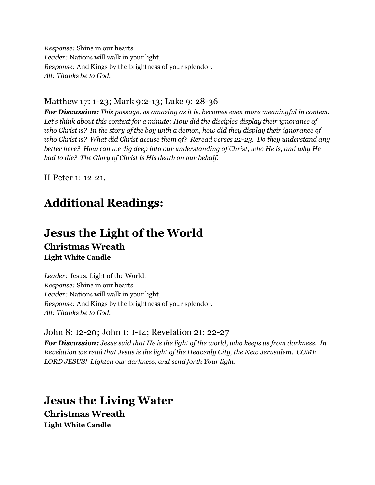*Response:* Shine in our hearts. *Leader:* Nations will walk in your light, *Response:* And Kings by the brightness of your splendor. *All: Thanks be to God.*

#### Matthew 17: 1-23; Mark 9:2-13; Luke 9: 28-36

*For Discussion: This passage, as amazing as it is, becomes even more meaningful in context. Let's think about this context for a minute: How did the disciples display their ignorance of* who Christ is? In the story of the boy with a demon, how did they display their ignorance of *who Christ is? What did Christ accuse them of? Reread verses 22-23. Do they understand any better here? How can we dig deep into our understanding of Christ, who He is, and why He had to die? The Glory of Christ is His death on our behalf.*

II Peter 1: 12-21.

## **Additional Readings:**

### **Jesus the Light of the World Christmas Wreath Light White Candle**

*Leader:* Jesus, Light of the World! *Response:* Shine in our hearts. *Leader:* Nations will walk in your light, *Response:* And Kings by the brightness of your splendor. *All: Thanks be to God.*

#### John 8: 12-20; John 1: 1-14; Revelation 21: 22-27

*For Discussion: Jesus said that He is the light of the world, who keeps us from darkness. In Revelation we read that Jesus is the light of the Heavenly City, the New Jerusalem. COME LORD JESUS! Lighten our darkness, and send forth Your light.*

### **Jesus the Living Water**

**Christmas Wreath Light White Candle**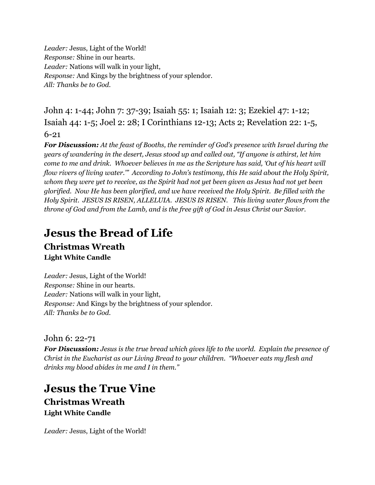*Leader:* Jesus, Light of the World! *Response:* Shine in our hearts. *Leader:* Nations will walk in your light, *Response:* And Kings by the brightness of your splendor. *All: Thanks be to God.*

John 4: 1-44; John 7: 37-39; Isaiah 55: 1; Isaiah 12: 3; Ezekiel 47: 1-12; Isaiah 44: 1-5; Joel 2: 28; I Corinthians 12-13; Acts 2; Revelation 22: 1-5, 6-21

*For Discussion: At the feast of Booths, the reminder of God's presence with Israel during the years of wandering in the desert, Jesus stood up and called out, "If anyone is athirst, let him* come to me and drink. Whoever believes in me as the Scripture has said, 'Out of his heart will *flow rivers of living water.'" According to John's testimony, this He said about the Holy Spirit,* whom they were yet to receive, as the Spirit had not yet been given as Jesus had not yet been *glorified. Now He has been glorified, and we have received the Holy Spirit. Be filled with the Holy Spirit. JESUS IS RISEN, ALLELUIA. JESUS IS RISEN. This living water flows from the throne of God and from the Lamb, and is the free gift of God in Jesus Christ our Savior.*

## **Jesus the Bread of Life**

### **Christmas Wreath Light White Candle**

*Leader:* Jesus, Light of the World! *Response:* Shine in our hearts. *Leader:* Nations will walk in your light, *Response:* And Kings by the brightness of your splendor. *All: Thanks be to God.*

John 6: 22-71

*For Discussion: Jesus is the true bread which gives life to the world. Explain the presence of Christ in the Eucharist as our Living Bread to your children. "Whoever eats my flesh and drinks my blood abides in me and I in them."*

**Jesus the True Vine Christmas Wreath Light White Candle**

*Leader:* Jesus, Light of the World!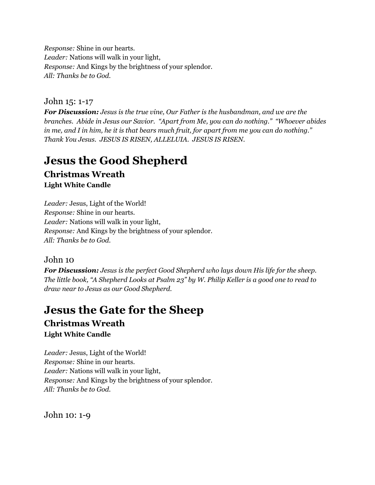*Response:* Shine in our hearts. *Leader:* Nations will walk in your light, *Response:* And Kings by the brightness of your splendor. *All: Thanks be to God.*

#### John 15: 1-17

*For Discussion: Jesus is the true vine, Our Father is the husbandman, and we are the branches. Abide in Jesus our Savior. "Apart from Me, you can do nothing." "Whoever abides* in me, and I in him, he it is that bears much fruit, for apart from me you can do nothing." *Thank You Jesus. JESUS IS RISEN, ALLELUIA. JESUS IS RISEN.*

## **Jesus the Good Shepherd**

**Christmas Wreath Light White Candle**

*Leader:* Jesus, Light of the World! *Response:* Shine in our hearts. *Leader:* Nations will walk in your light, *Response:* And Kings by the brightness of your splendor. *All: Thanks be to God.*

### John 10

*For Discussion: Jesus is the perfect Good Shepherd who lays down His life for the sheep.* The little book, "A Shepherd Looks at Psalm 23" by W. Philip Keller is a good one to read to *draw near to Jesus as our Good Shepherd.*

### **Jesus the Gate for the Sheep Christmas Wreath**

**Light White Candle**

*Leader:* Jesus, Light of the World! *Response:* Shine in our hearts. *Leader:* Nations will walk in your light, *Response:* And Kings by the brightness of your splendor. *All: Thanks be to God.*

John 10: 1-9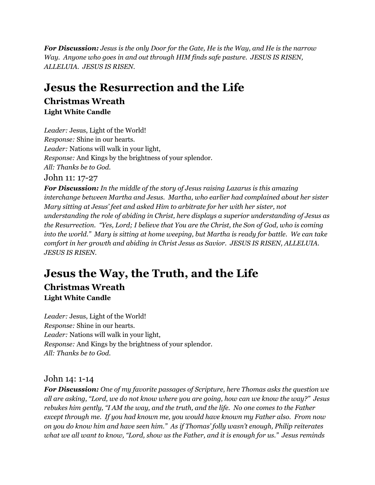*For Discussion: Jesus is the only Door for the Gate, He is the Way, and He is the narrow Way. Anyone who goes in and out through HIM finds safe pasture. JESUS IS RISEN, ALLELUIA. JESUS IS RISEN.*

### **Jesus the Resurrection and the Life Christmas Wreath Light White Candle**

*Leader:* Jesus, Light of the World! *Response:* Shine in our hearts. *Leader:* Nations will walk in your light, *Response:* And Kings by the brightness of your splendor. *All: Thanks be to God.* John 11: 17-27

*For Discussion: In the middle of the story of Jesus raising Lazarus is this amazing interchange between Martha and Jesus. Martha, who earlier had complained about her sister Mary sitting at Jesus' feet and asked Him to arbitrate for her with her sister, not understanding the role of abiding in Christ, here displays a superior understanding of Jesus as the Resurrection. "Yes, Lord; I believe that You are the Christ, the Son of God, who is coming into the world." Mary is sitting at home weeping, but Martha is ready for battle. We can take comfort in her growth and abiding in Christ Jesus as Savior. JESUS IS RISEN, ALLELUIA. JESUS IS RISEN.*

### **Jesus the Way, the Truth, and the Life Christmas Wreath Light White Candle**

*Leader:* Jesus, Light of the World! *Response:* Shine in our hearts. *Leader:* Nations will walk in your light, *Response:* And Kings by the brightness of your splendor. *All: Thanks be to God.*

### John 14: 1-14

*For Discussion: One of my favorite passages of Scripture, here Thomas asks the question we all are asking, "Lord, we do not know where you are going, how can we know the way?" Jesus rebukes him gently, "I AM the way, and the truth, and the life. No one comes to the Father except through me. If you had known me, you would have known my Father also. From now on you do know him and have seen him." As if Thomas' folly wasn't enough, Philip reiterates* what we all want to know, "Lord, show us the Father, and it is enough for us." Jesus reminds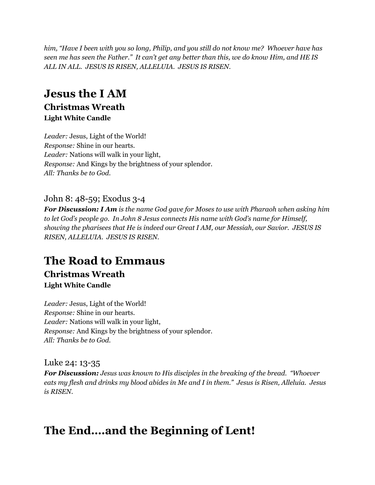*him, "Have I been with you so long, Philip, and you still do not know me? Whoever have has* seen me has seen the Father." It can't get any better than this, we do know Him, and HE IS *ALL IN ALL. JESUS IS RISEN, ALLELUIA. JESUS IS RISEN.*

## **Jesus the I AM**

### **Christmas Wreath Light White Candle**

*Leader:* Jesus, Light of the World! *Response:* Shine in our hearts. *Leader:* Nations will walk in your light, *Response:* And Kings by the brightness of your splendor. *All: Thanks be to God.*

### John 8: 48-59; Exodus 3-4

*For Discussion: I Am is the name God gave for Moses to use with Pharaoh when asking him to let God's people go. In John 8 Jesus connects His name with God's name for Himself, showing the pharisees that He is indeed our Great I AM, our Messiah, our Savior. JESUS IS RISEN, ALLELUIA. JESUS IS RISEN.*

## **The Road to Emmaus**

### **Christmas Wreath Light White Candle**

*Leader:* Jesus, Light of the World! *Response:* Shine in our hearts. *Leader:* Nations will walk in your light, *Response:* And Kings by the brightness of your splendor. *All: Thanks be to God.*

Luke 24: 13-35

*For Discussion: Jesus was known to His disciples in the breaking of the bread. "Whoever* eats my flesh and drinks my blood abides in Me and I in them." Jesus is Risen, Alleluia. Jesus *is RISEN.*

## **The End….and the Beginning of Lent!**